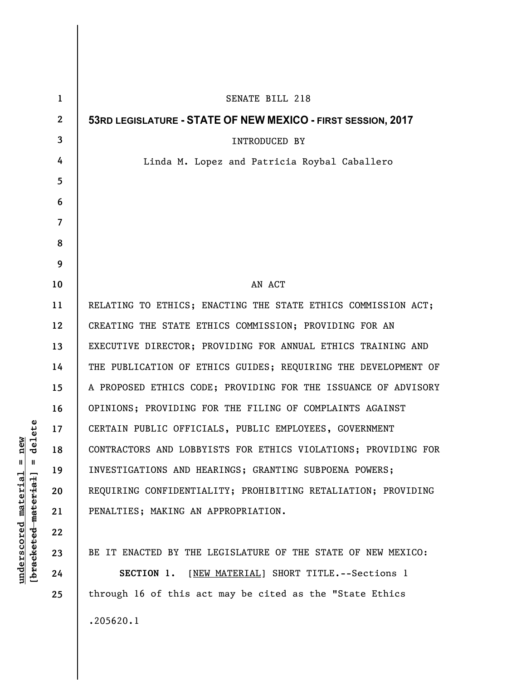| $\mathbf{1}$   | SENATE BILL 218                                                |
|----------------|----------------------------------------------------------------|
| $\mathbf{2}$   | 53RD LEGISLATURE - STATE OF NEW MEXICO - FIRST SESSION, 2017   |
| 3              | INTRODUCED BY                                                  |
| 4              | Linda M. Lopez and Patricia Roybal Caballero                   |
| 5              |                                                                |
| 6              |                                                                |
| $\overline{7}$ |                                                                |
| 8              |                                                                |
| 9              |                                                                |
| 10             | AN ACT                                                         |
| 11             | RELATING TO ETHICS; ENACTING THE STATE ETHICS COMMISSION ACT;  |
| 12             | CREATING THE STATE ETHICS COMMISSION; PROVIDING FOR AN         |
| 13             | EXECUTIVE DIRECTOR; PROVIDING FOR ANNUAL ETHICS TRAINING AND   |
| 14             | THE PUBLICATION OF ETHICS GUIDES; REQUIRING THE DEVELOPMENT OF |
| 15             | A PROPOSED ETHICS CODE; PROVIDING FOR THE ISSUANCE OF ADVISORY |
| 16             | OPINIONS; PROVIDING FOR THE FILING OF COMPLAINTS AGAINST       |
| 17             | CERTAIN PUBLIC OFFICIALS, PUBLIC EMPLOYEES, GOVERNMENT         |
| 18             | CONTRACTORS AND LOBBYISTS FOR ETHICS VIOLATIONS; PROVIDING FOR |
| 19             | INVESTIGATIONS AND HEARINGS; GRANTING SUBPOENA POWERS;         |
| 20             | REQUIRING CONFIDENTIALITY; PROHIBITING RETALIATION; PROVIDING  |
| 21             | PENALTIES; MAKING AN APPROPRIATION.                            |
| 22             |                                                                |
| 23             | BE IT ENACTED BY THE LEGISLATURE OF THE STATE OF NEW MEXICO:   |
| 24             | SECTION 1. [NEW MATERIAL] SHORT TITLE. -- Sections 1           |
| 25             | through 16 of this act may be cited as the "State Ethics       |
|                | .205620.1                                                      |

**underscored material = new [bracketed material] = delete**

 $[**bracket**et~~eted matcherial~~] = **delete**$  $underscored material = new$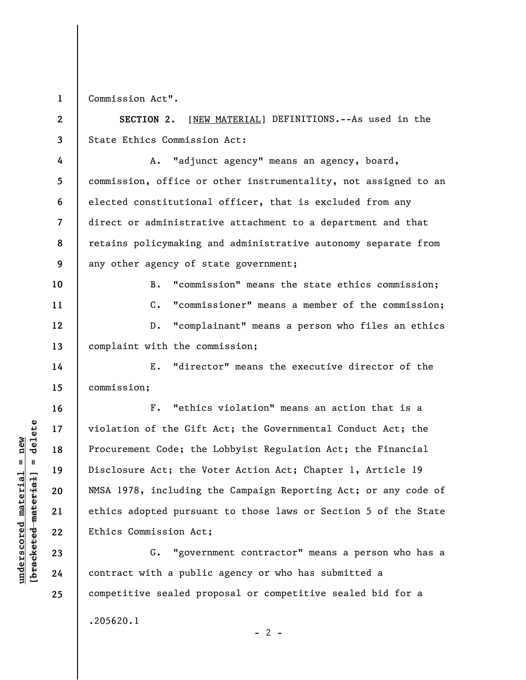**1**  Commission Act".

**2 3 SECTION 2.** [NEW MATERIAL] DEFINITIONS.--As used in the State Ethics Commission Act:

**4 5 6 7 8 9**  A. "adjunct agency" means an agency, board, commission, office or other instrumentality, not assigned to an elected constitutional officer, that is excluded from any direct or administrative attachment to a department and that retains policymaking and administrative autonomy separate from any other agency of state government;

B. "commission" means the state ethics commission; C. "commissioner" means a member of the commission; D. "complainant" means a person who files an ethics complaint with the commission;

E. "director" means the executive director of the commission;

F. "ethics violation" means an action that is a violation of the Gift Act; the Governmental Conduct Act; the Procurement Code; the Lobbyist Regulation Act; the Financial Disclosure Act; the Voter Action Act; Chapter 1, Article 19 NMSA 1978, including the Campaign Reporting Act; or any code of ethics adopted pursuant to those laws or Section 5 of the State Ethics Commission Act;

G. "government contractor" means a person who has a contract with a public agency or who has submitted a competitive sealed proposal or competitive sealed bid for a

 $- 2 -$ 

.205620.1

 $\frac{1}{2}$  intereted material = delete **[bracketed material] = delete**  $underscored material = new$ **underscored material = new**

**10** 

**11** 

**12** 

**13** 

**14** 

**15** 

**16** 

**17** 

**18** 

**19** 

**20** 

**21** 

**22** 

**23** 

**24**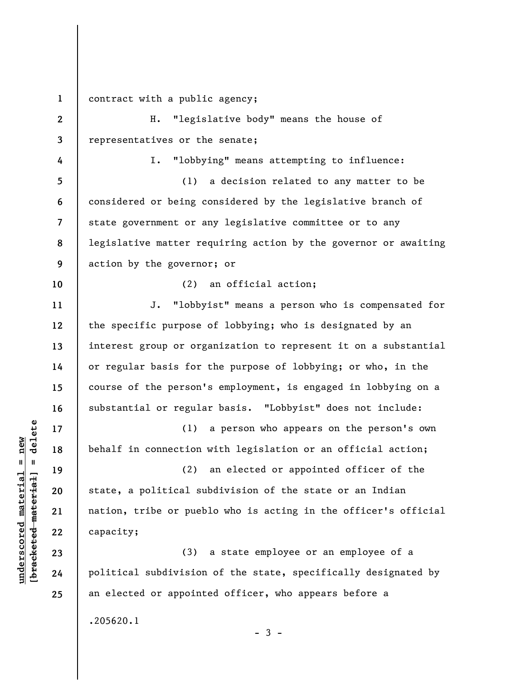**1**  contract with a public agency;

**2 3**  H. "legislative body" means the house of representatives or the senate;

I. "lobbying" means attempting to influence:

**5 6 7 8 9**  (1) a decision related to any matter to be considered or being considered by the legislative branch of state government or any legislative committee or to any legislative matter requiring action by the governor or awaiting action by the governor; or

(2) an official action;

J. "lobbyist" means a person who is compensated for the specific purpose of lobbying; who is designated by an interest group or organization to represent it on a substantial or regular basis for the purpose of lobbying; or who, in the course of the person's employment, is engaged in lobbying on a substantial or regular basis. "Lobbyist" does not include:

(1) a person who appears on the person's own behalf in connection with legislation or an official action;

(2) an elected or appointed officer of the state, a political subdivision of the state or an Indian nation, tribe or pueblo who is acting in the officer's official capacity;

(3) a state employee or an employee of a political subdivision of the state, specifically designated by an elected or appointed officer, who appears before a .205620.1

 $-3 -$ 

**4** 

**10** 

**11** 

**12** 

**13** 

**14** 

**15** 

**16** 

**17** 

**18** 

**19** 

**20** 

**21** 

**22** 

**23** 

**24**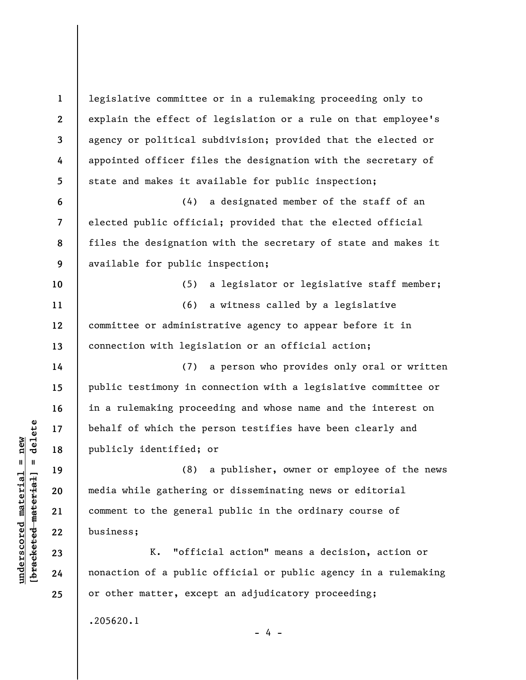**1 2 3 4 5 6 7 8 9 10 11 12 13 14 15 16 17 18 19 20 21 22 23 24 25**  legislative committee or in a rulemaking proceeding only to explain the effect of legislation or a rule on that employee's agency or political subdivision; provided that the elected or appointed officer files the designation with the secretary of state and makes it available for public inspection; (4) a designated member of the staff of an elected public official; provided that the elected official files the designation with the secretary of state and makes it available for public inspection; (5) a legislator or legislative staff member; (6) a witness called by a legislative committee or administrative agency to appear before it in connection with legislation or an official action; (7) a person who provides only oral or written public testimony in connection with a legislative committee or in a rulemaking proceeding and whose name and the interest on behalf of which the person testifies have been clearly and publicly identified; or (8) a publisher, owner or employee of the news media while gathering or disseminating news or editorial comment to the general public in the ordinary course of business; K. "official action" means a decision, action or nonaction of a public official or public agency in a rulemaking or other matter, except an adjudicatory proceeding; .205620.1 - 4 -

 $\frac{1}{2}$  of  $\frac{1}{2}$  and  $\frac{1}{2}$  and  $\frac{1}{2}$  and  $\frac{1}{2}$  and  $\frac{1}{2}$  and  $\frac{1}{2}$  and  $\frac{1}{2}$  and  $\frac{1}{2}$  and  $\frac{1}{2}$  and  $\frac{1}{2}$  and  $\frac{1}{2}$  and  $\frac{1}{2}$  and  $\frac{1}{2}$  and  $\frac{1}{2}$  and  $\frac{1}{2}$  an **[bracketed material] = delete**  $underscored material = new$ **underscored material = new**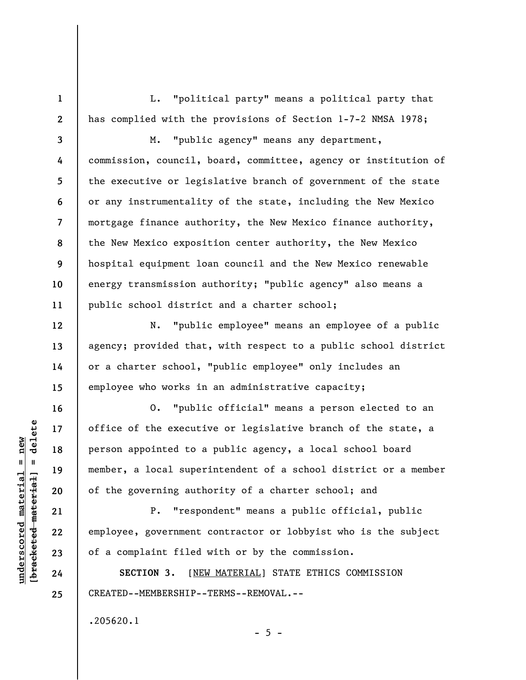L. "political party" means a political party that has complied with the provisions of Section 1-7-2 NMSA 1978;

**3 4 5 6 7 8 9 10 11**  M. "public agency" means any department, commission, council, board, committee, agency or institution of the executive or legislative branch of government of the state or any instrumentality of the state, including the New Mexico mortgage finance authority, the New Mexico finance authority, the New Mexico exposition center authority, the New Mexico hospital equipment loan council and the New Mexico renewable energy transmission authority; "public agency" also means a public school district and a charter school;

N. "public employee" means an employee of a public agency; provided that, with respect to a public school district or a charter school, "public employee" only includes an employee who works in an administrative capacity;

O. "public official" means a person elected to an office of the executive or legislative branch of the state, a person appointed to a public agency, a local school board member, a local superintendent of a school district or a member of the governing authority of a charter school; and

P. "respondent" means a public official, public employee, government contractor or lobbyist who is the subject of a complaint filed with or by the commission.

 $- 5 -$ 

**SECTION 3.** [NEW MATERIAL] STATE ETHICS COMMISSION CREATED--MEMBERSHIP--TERMS--REMOVAL.--

.205620.1

 $=$  delete **[bracketed material] = delete**  $underscored material = new$ **underscored material = new** bracketed material

**1** 

**2** 

**12** 

**13** 

**14** 

**15** 

**16** 

**17** 

**18** 

**19** 

**20** 

**21** 

**22** 

**23** 

**24**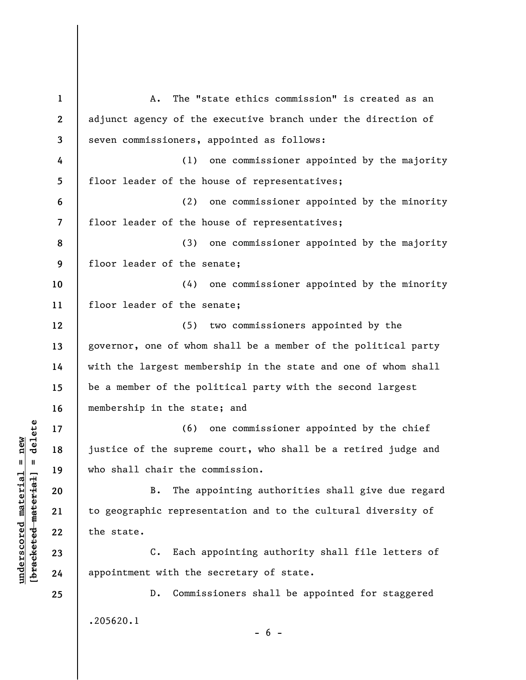**1 2 3 4 5 6 7 8 9 10 11 12 13 14 15 16 17 18 19 20 21 22 23 24 25**  A. The "state ethics commission" is created as an adjunct agency of the executive branch under the direction of seven commissioners, appointed as follows: (1) one commissioner appointed by the majority floor leader of the house of representatives; (2) one commissioner appointed by the minority floor leader of the house of representatives; (3) one commissioner appointed by the majority floor leader of the senate; (4) one commissioner appointed by the minority floor leader of the senate; (5) two commissioners appointed by the governor, one of whom shall be a member of the political party with the largest membership in the state and one of whom shall be a member of the political party with the second largest membership in the state; and (6) one commissioner appointed by the chief justice of the supreme court, who shall be a retired judge and who shall chair the commission. B. The appointing authorities shall give due regard to geographic representation and to the cultural diversity of the state. C. Each appointing authority shall file letters of appointment with the secretary of state. D. Commissioners shall be appointed for staggered .205620.1  $- 6 -$ 

 $\frac{1}{2}$  intereted material = delete **[bracketed material] = delete**  $underscored material = new$ **underscored material = new**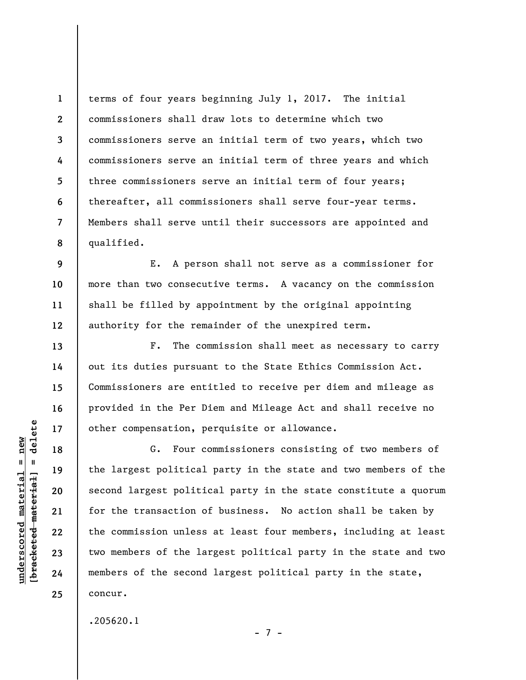**1 2 3 4 5 6 7 8**  terms of four years beginning July 1, 2017. The initial commissioners shall draw lots to determine which two commissioners serve an initial term of two years, which two commissioners serve an initial term of three years and which three commissioners serve an initial term of four years; thereafter, all commissioners shall serve four-year terms. Members shall serve until their successors are appointed and qualified.

E. A person shall not serve as a commissioner for more than two consecutive terms. A vacancy on the commission shall be filled by appointment by the original appointing authority for the remainder of the unexpired term.

F. The commission shall meet as necessary to carry out its duties pursuant to the State Ethics Commission Act. Commissioners are entitled to receive per diem and mileage as provided in the Per Diem and Mileage Act and shall receive no other compensation, perquisite or allowance.

G. Four commissioners consisting of two members of the largest political party in the state and two members of the second largest political party in the state constitute a quorum for the transaction of business. No action shall be taken by the commission unless at least four members, including at least two members of the largest political party in the state and two members of the second largest political party in the state, concur.

- 7 -

.205620.1

 $\frac{1}{2}$  of  $\frac{1}{2}$  and  $\frac{1}{2}$  and  $\frac{1}{2}$  and  $\frac{1}{2}$  and  $\frac{1}{2}$  and  $\frac{1}{2}$  and  $\frac{1}{2}$  and  $\frac{1}{2}$  and  $\frac{1}{2}$  and  $\frac{1}{2}$  and  $\frac{1}{2}$  and  $\frac{1}{2}$  and  $\frac{1}{2}$  and  $\frac{1}{2}$  and  $\frac{1}{2}$  an **[bracketed material] = delete**  $underscored material = new$ **underscored material = new**

**9** 

**10** 

**11** 

**12** 

**13** 

**14** 

**15** 

**16** 

**17** 

**18** 

**19** 

**20** 

**21** 

**22** 

**23** 

**24**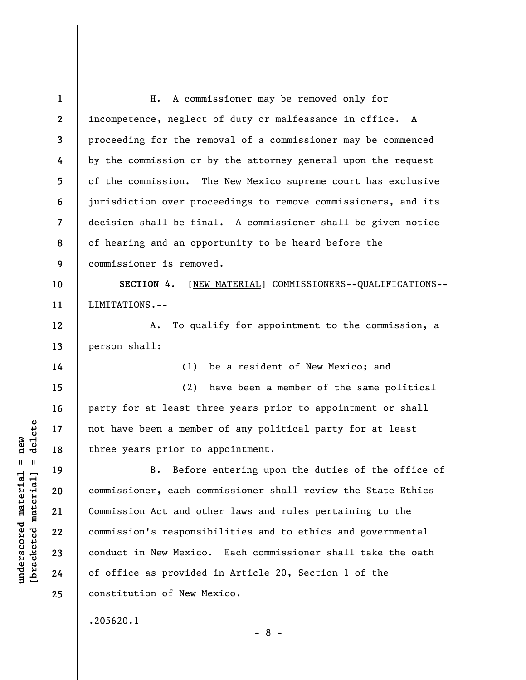**1 2 3 4 5 6 7 8 9 10 11 12 13 14 15 16 17 18 19 20 21 22 23 24 25**  H. A commissioner may be removed only for incompetence, neglect of duty or malfeasance in office. A proceeding for the removal of a commissioner may be commenced by the commission or by the attorney general upon the request of the commission. The New Mexico supreme court has exclusive jurisdiction over proceedings to remove commissioners, and its decision shall be final. A commissioner shall be given notice of hearing and an opportunity to be heard before the commissioner is removed. **SECTION 4.** [NEW MATERIAL] COMMISSIONERS--QUALIFICATIONS-- LIMITATIONS.-- A. To qualify for appointment to the commission, a person shall: (1) be a resident of New Mexico; and (2) have been a member of the same political party for at least three years prior to appointment or shall not have been a member of any political party for at least three years prior to appointment. B. Before entering upon the duties of the office of commissioner, each commissioner shall review the State Ethics Commission Act and other laws and rules pertaining to the commission's responsibilities and to ethics and governmental conduct in New Mexico. Each commissioner shall take the oath of office as provided in Article 20, Section 1 of the constitution of New Mexico.

- 8 -

.205620.1

 $\frac{1}{2}$  of  $\frac{1}{2}$  and  $\frac{1}{2}$  and  $\frac{1}{2}$  and  $\frac{1}{2}$  and  $\frac{1}{2}$  and  $\frac{1}{2}$  and  $\frac{1}{2}$  and  $\frac{1}{2}$  and  $\frac{1}{2}$  and  $\frac{1}{2}$  and  $\frac{1}{2}$  and  $\frac{1}{2}$  and  $\frac{1}{2}$  and  $\frac{1}{2}$  and  $\frac{1}{2}$  an **[bracketed material] = delete**  $underscored material = new$ **underscored material = new**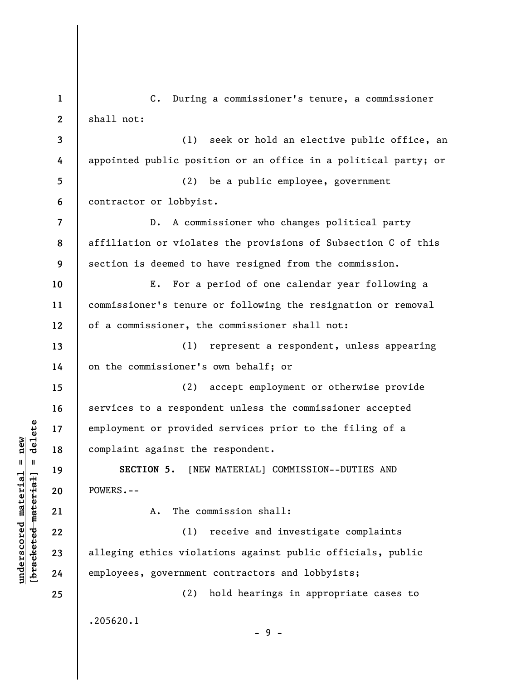**1 2 3 4 5 6 7 8 9 10 11 12 13 14 15 16 17 18 19 20 21 22 23 24 25**  C. During a commissioner's tenure, a commissioner shall not: (1) seek or hold an elective public office, an appointed public position or an office in a political party; or (2) be a public employee, government contractor or lobbyist. D. A commissioner who changes political party affiliation or violates the provisions of Subsection C of this section is deemed to have resigned from the commission. E. For a period of one calendar year following a commissioner's tenure or following the resignation or removal of a commissioner, the commissioner shall not: (1) represent a respondent, unless appearing on the commissioner's own behalf; or (2) accept employment or otherwise provide services to a respondent unless the commissioner accepted employment or provided services prior to the filing of a complaint against the respondent. **SECTION 5.** [NEW MATERIAL] COMMISSION--DUTIES AND POWERS.-- A. The commission shall: (1) receive and investigate complaints alleging ethics violations against public officials, public employees, government contractors and lobbyists; (2) hold hearings in appropriate cases to .205620.1 - 9 -

**underscored material = new [bracketed material] = delete**

 $\frac{1}{2}$  intereted material = delete  $underscored material = new$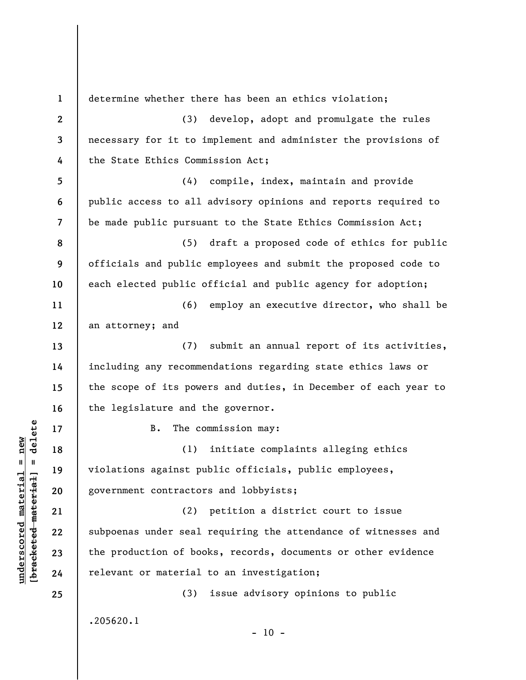**1 2 3 4 5 6 7 8 9 10 11 12 13 14 15 16 17 18 19 20 21 22 23 24 25**  determine whether there has been an ethics violation; (3) develop, adopt and promulgate the rules necessary for it to implement and administer the provisions of the State Ethics Commission Act; (4) compile, index, maintain and provide public access to all advisory opinions and reports required to be made public pursuant to the State Ethics Commission Act; (5) draft a proposed code of ethics for public officials and public employees and submit the proposed code to each elected public official and public agency for adoption; (6) employ an executive director, who shall be an attorney; and (7) submit an annual report of its activities, including any recommendations regarding state ethics laws or the scope of its powers and duties, in December of each year to the legislature and the governor. B. The commission may: (1) initiate complaints alleging ethics violations against public officials, public employees, government contractors and lobbyists; (2) petition a district court to issue subpoenas under seal requiring the attendance of witnesses and the production of books, records, documents or other evidence relevant or material to an investigation; (3) issue advisory opinions to public .205620.1  $- 10 -$ 

**underscored material = new [bracketed material] = delete**

 $\frac{1}{2}$  intereted material = delete  $underscored material = new$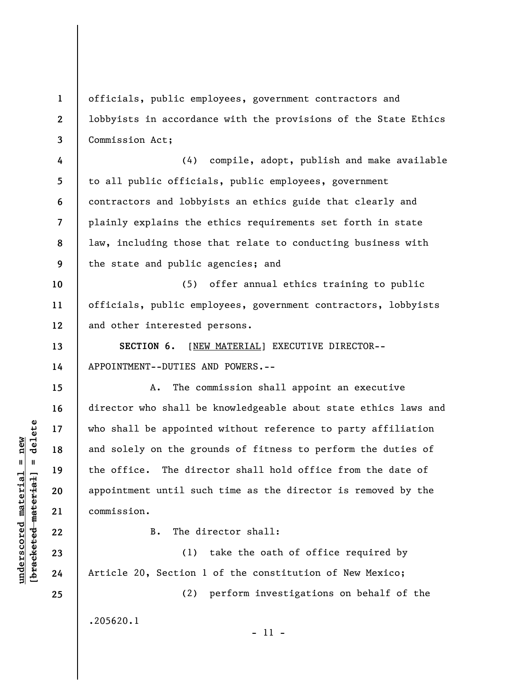officials, public employees, government contractors and lobbyists in accordance with the provisions of the State Ethics Commission Act;

**4 5 6 7 8 9**  (4) compile, adopt, publish and make available to all public officials, public employees, government contractors and lobbyists an ethics guide that clearly and plainly explains the ethics requirements set forth in state law, including those that relate to conducting business with the state and public agencies; and

**10 11 12**  (5) offer annual ethics training to public officials, public employees, government contractors, lobbyists and other interested persons.

**SECTION 6.** [NEW MATERIAL] EXECUTIVE DIRECTOR-- APPOINTMENT--DUTIES AND POWERS.--

A. The commission shall appoint an executive director who shall be knowledgeable about state ethics laws and who shall be appointed without reference to party affiliation and solely on the grounds of fitness to perform the duties of the office. The director shall hold office from the date of appointment until such time as the director is removed by the commission.

**22** 

**1** 

**2** 

**3** 

**13** 

**14** 

**15** 

**16** 

**17** 

**18** 

**19** 

**20** 

**21** 

**23** 

**24** 

**25** 

B. The director shall:

(1) take the oath of office required by Article 20, Section 1 of the constitution of New Mexico;

- 11 -

(2) perform investigations on behalf of the

.205620.1

 $\frac{1}{2}$  intereted material = delete **[bracketed material] = delete**  $underscored material = new$ **underscored material = new**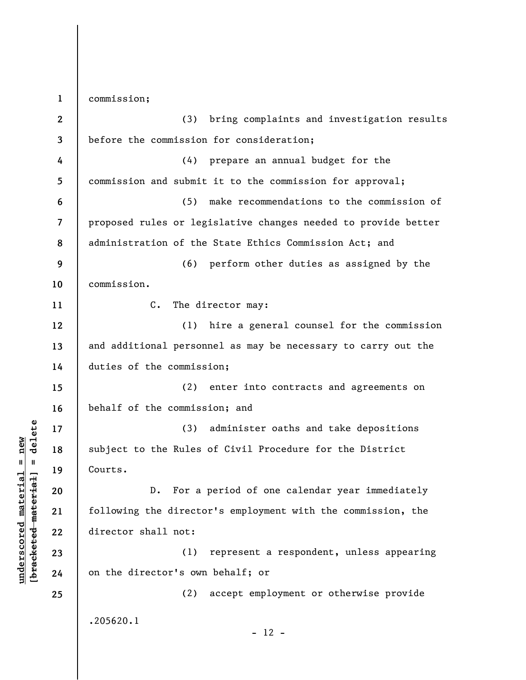**1 2 3 4 5 6 7 8 9 10 11 12 13 14 15 16 17 18 19 20 21 22 23 24 25**  commission; (3) bring complaints and investigation results before the commission for consideration; (4) prepare an annual budget for the commission and submit it to the commission for approval; (5) make recommendations to the commission of proposed rules or legislative changes needed to provide better administration of the State Ethics Commission Act; and (6) perform other duties as assigned by the commission. C. The director may: (1) hire a general counsel for the commission and additional personnel as may be necessary to carry out the duties of the commission; (2) enter into contracts and agreements on behalf of the commission; and (3) administer oaths and take depositions subject to the Rules of Civil Procedure for the District Courts. D. For a period of one calendar year immediately following the director's employment with the commission, the director shall not: (1) represent a respondent, unless appearing on the director's own behalf; or (2) accept employment or otherwise provide .205620.1  $- 12 -$ 

**underscored material = new [bracketed material] = delete**

 $b$ racketed material] = delete  $underscored material = new$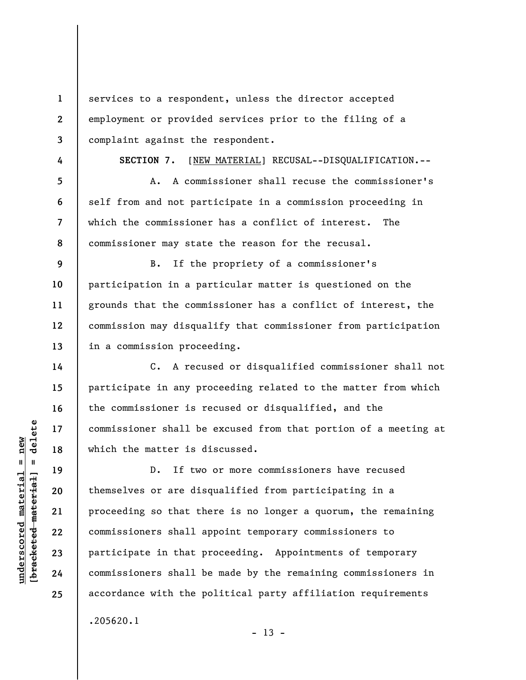services to a respondent, unless the director accepted employment or provided services prior to the filing of a complaint against the respondent.

**4 5** 

**6** 

**7** 

**8** 

**14** 

**15** 

**16** 

**17** 

**18** 

**19** 

**20** 

**21** 

**22** 

**23** 

**24** 

**25** 

**1** 

**2** 

**3** 

**SECTION 7.** [NEW MATERIAL] RECUSAL--DISQUALIFICATION.--

A. A commissioner shall recuse the commissioner's self from and not participate in a commission proceeding in which the commissioner has a conflict of interest. The commissioner may state the reason for the recusal.

**9 10 11 12 13**  B. If the propriety of a commissioner's participation in a particular matter is questioned on the grounds that the commissioner has a conflict of interest, the commission may disqualify that commissioner from participation in a commission proceeding.

C. A recused or disqualified commissioner shall not participate in any proceeding related to the matter from which the commissioner is recused or disqualified, and the commissioner shall be excused from that portion of a meeting at which the matter is discussed.

D. If two or more commissioners have recused themselves or are disqualified from participating in a proceeding so that there is no longer a quorum, the remaining commissioners shall appoint temporary commissioners to participate in that proceeding. Appointments of temporary commissioners shall be made by the remaining commissioners in accordance with the political party affiliation requirements .205620.1

 $- 13 -$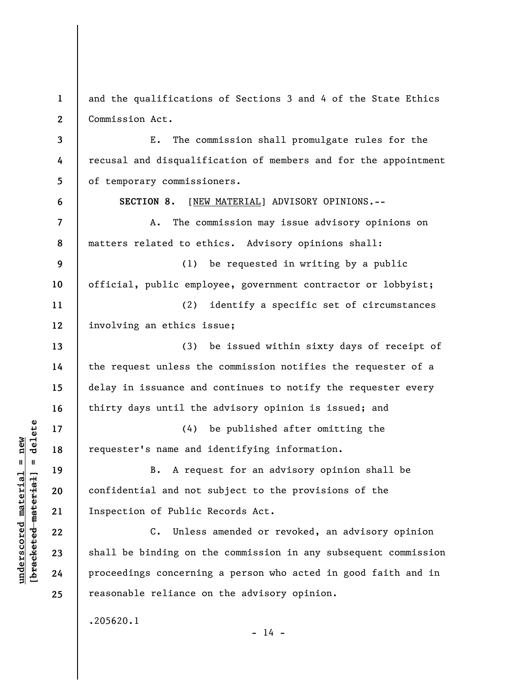**1 2**  and the qualifications of Sections 3 and 4 of the State Ethics Commission Act.

E. The commission shall promulgate rules for the recusal and disqualification of members and for the appointment of temporary commissioners.

A. The commission may issue advisory opinions on matters related to ethics. Advisory opinions shall:

**SECTION 8.** [NEW MATERIAL] ADVISORY OPINIONS.--

**9 10 11**  (1) be requested in writing by a public official, public employee, government contractor or lobbyist; (2) identify a specific set of circumstances

involving an ethics issue;

(3) be issued within sixty days of receipt of the request unless the commission notifies the requester of a delay in issuance and continues to notify the requester every thirty days until the advisory opinion is issued; and

(4) be published after omitting the requester's name and identifying information.

B. A request for an advisory opinion shall be confidential and not subject to the provisions of the Inspection of Public Records Act.

C. Unless amended or revoked, an advisory opinion shall be binding on the commission in any subsequent commission proceedings concerning a person who acted in good faith and in reasonable reliance on the advisory opinion.

 $- 14 -$ 

.205620.1

 $\frac{1}{2}$  intereted material = delete **[bracketed material] = delete**  $underscored material = new$ **underscored material = new**

**3** 

**4** 

**5** 

**6** 

**7** 

**8** 

**12** 

**13** 

**14** 

**15** 

**16** 

**17** 

**18** 

**19** 

**20** 

**21** 

**22** 

**23** 

**24**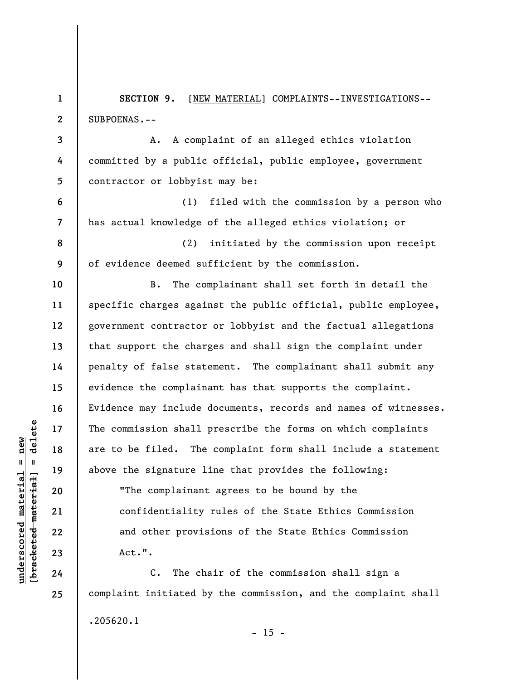**1 2 3 SECTION 9.** [NEW MATERIAL] COMPLAINTS--INVESTIGATIONS-- SUBPOENAS.-- A. A complaint of an alleged ethics violation

committed by a public official, public employee, government contractor or lobbyist may be:

(1) filed with the commission by a person who has actual knowledge of the alleged ethics violation; or

(2) initiated by the commission upon receipt of evidence deemed sufficient by the commission.

B. The complainant shall set forth in detail the specific charges against the public official, public employee, government contractor or lobbyist and the factual allegations that support the charges and shall sign the complaint under penalty of false statement. The complainant shall submit any evidence the complainant has that supports the complaint. Evidence may include documents, records and names of witnesses. The commission shall prescribe the forms on which complaints are to be filed. The complaint form shall include a statement above the signature line that provides the following: "The complainant agrees to be bound by the

> confidentiality rules of the State Ethics Commission and other provisions of the State Ethics Commission Act.".

C. The chair of the commission shall sign a complaint initiated by the commission, and the complaint shall .205620.1

 $\frac{1}{2}$  intereted material = delete **[bracketed material] = delete**  $underscored material = new$ **underscored material = new**

**4** 

**5** 

**6** 

**7** 

**8** 

**9** 

**10** 

**11** 

**12** 

**13** 

**14** 

**15** 

**16** 

**17** 

**18** 

**19** 

**20** 

**21** 

**22** 

**23** 

**24** 

**25** 

 $- 15 -$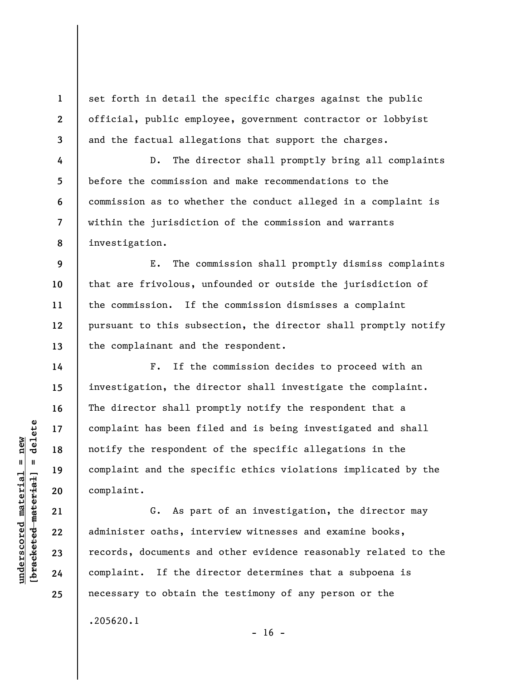set forth in detail the specific charges against the public official, public employee, government contractor or lobbyist and the factual allegations that support the charges.

**8**  D. The director shall promptly bring all complaints before the commission and make recommendations to the commission as to whether the conduct alleged in a complaint is within the jurisdiction of the commission and warrants investigation.

E. The commission shall promptly dismiss complaints that are frivolous, unfounded or outside the jurisdiction of the commission. If the commission dismisses a complaint pursuant to this subsection, the director shall promptly notify the complainant and the respondent.

F. If the commission decides to proceed with an investigation, the director shall investigate the complaint. The director shall promptly notify the respondent that a complaint has been filed and is being investigated and shall notify the respondent of the specific allegations in the complaint and the specific ethics violations implicated by the complaint.

G. As part of an investigation, the director may administer oaths, interview witnesses and examine books, records, documents and other evidence reasonably related to the complaint. If the director determines that a subpoena is necessary to obtain the testimony of any person or the

 $- 16 -$ 

.205620.1

 $\frac{1}{2}$  of  $\frac{1}{2}$  and  $\frac{1}{2}$  and  $\frac{1}{2}$  and  $\frac{1}{2}$  and  $\frac{1}{2}$  and  $\frac{1}{2}$  and  $\frac{1}{2}$  and  $\frac{1}{2}$  and  $\frac{1}{2}$  and  $\frac{1}{2}$  and  $\frac{1}{2}$  and  $\frac{1}{2}$  and  $\frac{1}{2}$  and  $\frac{1}{2}$  and  $\frac{1}{2}$  an **[bracketed material] = delete**  $underscored material = new$ **underscored material = new**

**1** 

**2** 

**3** 

**4** 

**5** 

**6** 

**7** 

**9** 

**10** 

**11** 

**12** 

**13** 

**14** 

**15** 

**16** 

**17** 

**18** 

**19** 

**20** 

**21** 

**22** 

**23** 

**24**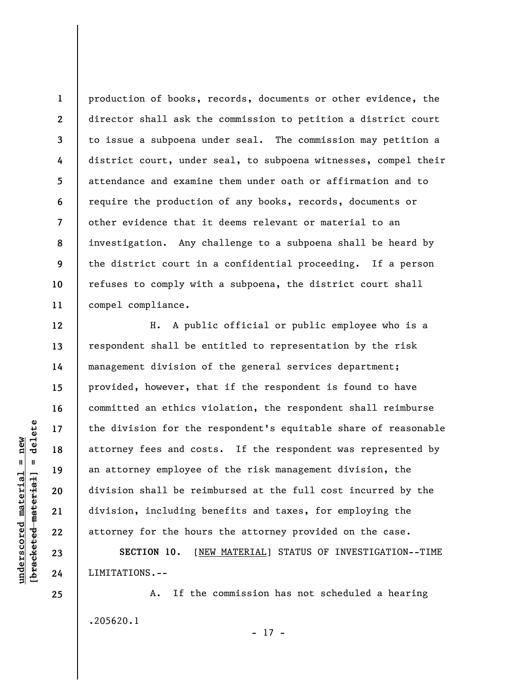**1 2 3 4 5 6 7 8 9 10 11**  production of books, records, documents or other evidence, the director shall ask the commission to petition a district court to issue a subpoena under seal. The commission may petition a district court, under seal, to subpoena witnesses, compel their attendance and examine them under oath or affirmation and to require the production of any books, records, documents or other evidence that it deems relevant or material to an investigation. Any challenge to a subpoena shall be heard by the district court in a confidential proceeding. If a person refuses to comply with a subpoena, the district court shall compel compliance.

H. A public official or public employee who is a respondent shall be entitled to representation by the risk management division of the general services department; provided, however, that if the respondent is found to have committed an ethics violation, the respondent shall reimburse the division for the respondent's equitable share of reasonable attorney fees and costs. If the respondent was represented by an attorney employee of the risk management division, the division shall be reimbursed at the full cost incurred by the division, including benefits and taxes, for employing the attorney for the hours the attorney provided on the case.

**SECTION 10.** [NEW MATERIAL] STATUS OF INVESTIGATION--TIME LIMITATIONS.--

A. If the commission has not scheduled a hearing .205620.1

- 17 -

 $\frac{1}{2}$  intereted material = delete **[bracketed material] = delete**  $underscored material = new$ **underscored material = new**

**12** 

**13** 

**14** 

**15** 

**16** 

**17** 

**18** 

**19** 

**20** 

**21** 

**22** 

**23** 

**24**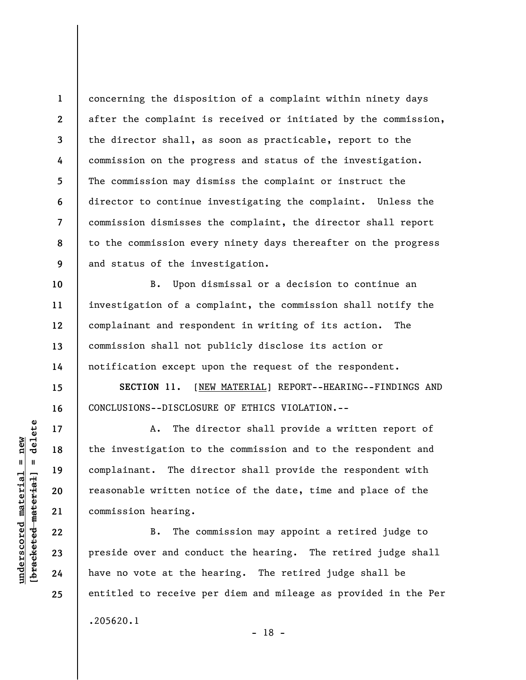**1 2 3 4 5 6 7 8 9**  concerning the disposition of a complaint within ninety days after the complaint is received or initiated by the commission, the director shall, as soon as practicable, report to the commission on the progress and status of the investigation. The commission may dismiss the complaint or instruct the director to continue investigating the complaint. Unless the commission dismisses the complaint, the director shall report to the commission every ninety days thereafter on the progress and status of the investigation.

B. Upon dismissal or a decision to continue an investigation of a complaint, the commission shall notify the complainant and respondent in writing of its action. The commission shall not publicly disclose its action or notification except upon the request of the respondent.

**SECTION 11.** [NEW MATERIAL] REPORT--HEARING--FINDINGS AND CONCLUSIONS--DISCLOSURE OF ETHICS VIOLATION.--

A. The director shall provide a written report of the investigation to the commission and to the respondent and complainant. The director shall provide the respondent with reasonable written notice of the date, time and place of the commission hearing.

B. The commission may appoint a retired judge to preside over and conduct the hearing. The retired judge shall have no vote at the hearing. The retired judge shall be entitled to receive per diem and mileage as provided in the Per .205620.1 - 18 -

 $\frac{1}{2}$  intereted material = delete **[bracketed material] = delete**  $underscored material = new$ **underscored material = new**

**10** 

**11** 

**12** 

**13** 

**14** 

**15** 

**16** 

**17** 

**18** 

**19** 

**20** 

**21** 

**22** 

**23** 

**24**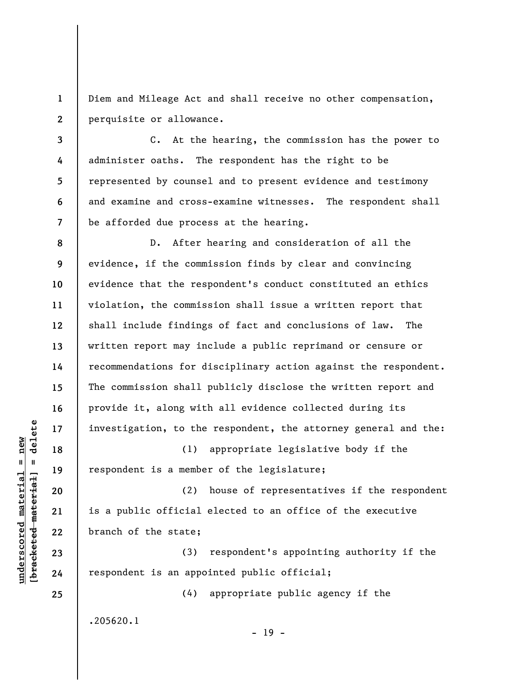**1 2**  Diem and Mileage Act and shall receive no other compensation, perquisite or allowance.

**3 4 5 6 7**  C. At the hearing, the commission has the power to administer oaths. The respondent has the right to be represented by counsel and to present evidence and testimony and examine and cross-examine witnesses. The respondent shall be afforded due process at the hearing.

**8 9 10 11 12 13 14 15 16 17**  D. After hearing and consideration of all the evidence, if the commission finds by clear and convincing evidence that the respondent's conduct constituted an ethics violation, the commission shall issue a written report that shall include findings of fact and conclusions of law. The written report may include a public reprimand or censure or recommendations for disciplinary action against the respondent. The commission shall publicly disclose the written report and provide it, along with all evidence collected during its investigation, to the respondent, the attorney general and the:

(1) appropriate legislative body if the respondent is a member of the legislature;

(2) house of representatives if the respondent is a public official elected to an office of the executive branch of the state;

(3) respondent's appointing authority if the respondent is an appointed public official;

(4) appropriate public agency if the

.205620.1

- 19 -

 $\frac{1}{2}$  intereted material = delete **[bracketed material] = delete**  $underscored material = new$ **underscored material = new**

**18** 

**19** 

**20** 

**21** 

**22** 

**23** 

**24**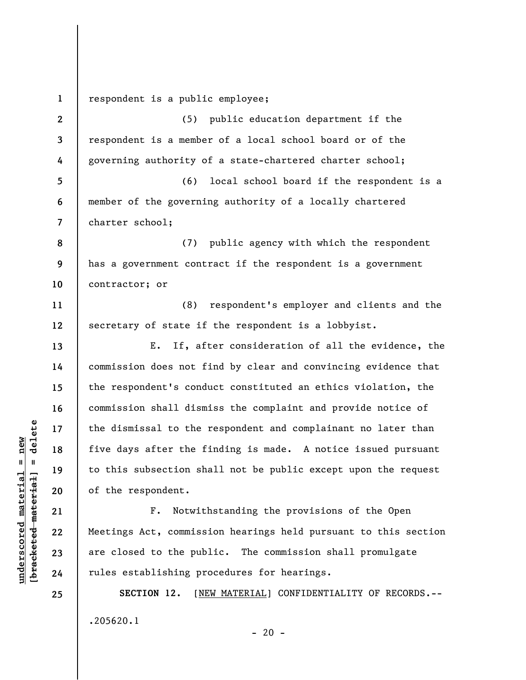**1 2 3 4 5 6 7 8 9 10 11 12 13 14 15 16 17 18 19 20 21 22 23 24 25**  respondent is a public employee; (5) public education department if the respondent is a member of a local school board or of the governing authority of a state-chartered charter school; (6) local school board if the respondent is a member of the governing authority of a locally chartered charter school; (7) public agency with which the respondent has a government contract if the respondent is a government contractor; or (8) respondent's employer and clients and the secretary of state if the respondent is a lobbyist. E. If, after consideration of all the evidence, the commission does not find by clear and convincing evidence that the respondent's conduct constituted an ethics violation, the commission shall dismiss the complaint and provide notice of the dismissal to the respondent and complainant no later than five days after the finding is made. A notice issued pursuant to this subsection shall not be public except upon the request of the respondent. F. Notwithstanding the provisions of the Open Meetings Act, commission hearings held pursuant to this section are closed to the public. The commission shall promulgate rules establishing procedures for hearings. **SECTION 12.** [NEW MATERIAL] CONFIDENTIALITY OF RECORDS.--

 $- 20 -$ 

.205620.1

 $\frac{1}{2}$  of  $\frac{1}{2}$  and  $\frac{1}{2}$  and  $\frac{1}{2}$  and  $\frac{1}{2}$  and  $\frac{1}{2}$  and  $\frac{1}{2}$  and  $\frac{1}{2}$  and  $\frac{1}{2}$  and  $\frac{1}{2}$  and  $\frac{1}{2}$  and  $\frac{1}{2}$  and  $\frac{1}{2}$  and  $\frac{1}{2}$  and  $\frac{1}{2}$  and  $\frac{1}{2}$  an **[bracketed material] = delete**  $underscored material = new$ **underscored material = new**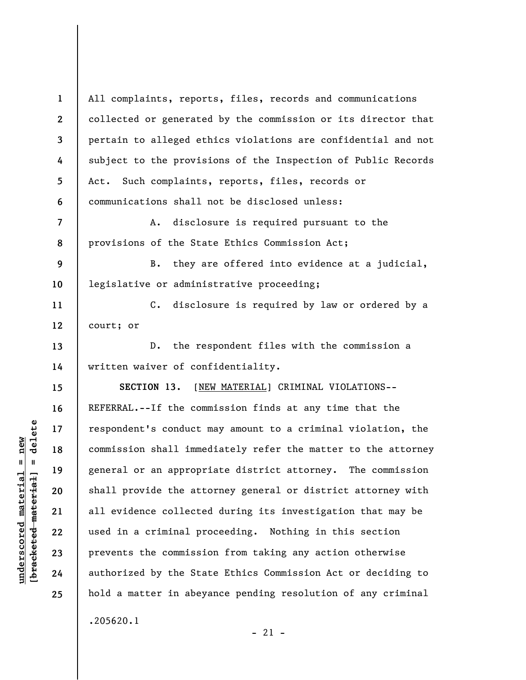**1 2 3 4 5 6 7 8 9 10 11 12 13 14 15 16 17 18 19 20 21 22 23 24 25**  All complaints, reports, files, records and communications collected or generated by the commission or its director that pertain to alleged ethics violations are confidential and not subject to the provisions of the Inspection of Public Records Act. Such complaints, reports, files, records or communications shall not be disclosed unless: A. disclosure is required pursuant to the provisions of the State Ethics Commission Act; B. they are offered into evidence at a judicial, legislative or administrative proceeding; C. disclosure is required by law or ordered by a court; or D. the respondent files with the commission a written waiver of confidentiality. **SECTION 13.** [NEW MATERIAL] CRIMINAL VIOLATIONS-- REFERRAL.--If the commission finds at any time that the respondent's conduct may amount to a criminal violation, the commission shall immediately refer the matter to the attorney general or an appropriate district attorney. The commission shall provide the attorney general or district attorney with all evidence collected during its investigation that may be used in a criminal proceeding. Nothing in this section prevents the commission from taking any action otherwise authorized by the State Ethics Commission Act or deciding to hold a matter in abeyance pending resolution of any criminal .205620.1

 $-21 -$ 

 $\frac{1}{2}$  intereted material = delete **[bracketed material] = delete**  $underscored material = new$ **underscored material = new**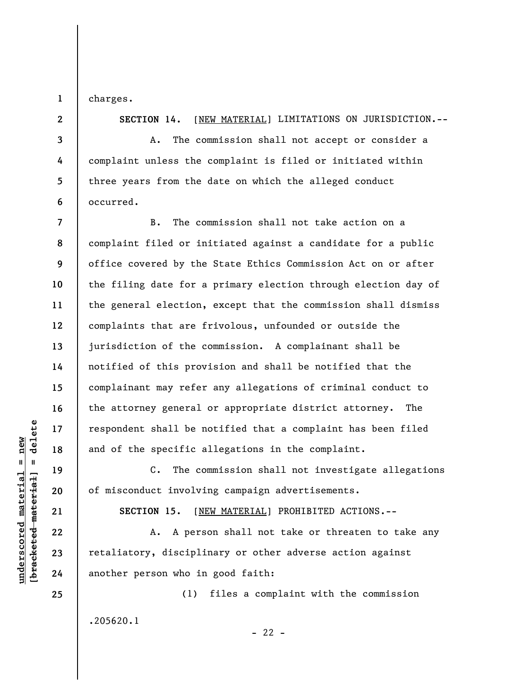charges.

**1** 

**2** 

**3** 

**4** 

**5** 

**6** 

**SECTION 14.** [NEW MATERIAL] LIMITATIONS ON JURISDICTION.--

A. The commission shall not accept or consider a complaint unless the complaint is filed or initiated within three years from the date on which the alleged conduct occurred.

**7 8 9 10 11 12 13 14 15 16 17 18**  B. The commission shall not take action on a complaint filed or initiated against a candidate for a public office covered by the State Ethics Commission Act on or after the filing date for a primary election through election day of the general election, except that the commission shall dismiss complaints that are frivolous, unfounded or outside the jurisdiction of the commission. A complainant shall be notified of this provision and shall be notified that the complainant may refer any allegations of criminal conduct to the attorney general or appropriate district attorney. The respondent shall be notified that a complaint has been filed and of the specific allegations in the complaint.

C. The commission shall not investigate allegations of misconduct involving campaign advertisements.

**SECTION 15.** [NEW MATERIAL] PROHIBITED ACTIONS.--

A. A person shall not take or threaten to take any retaliatory, disciplinary or other adverse action against another person who in good faith:

(1) files a complaint with the commission .205620.1

 $- 22 -$ 

 $\frac{1}{2}$  intereted material = delete **[bracketed material] = delete**  $underscored material = new$ **underscored material = new**

**24 25** 

**19** 

**20** 

**21** 

**22**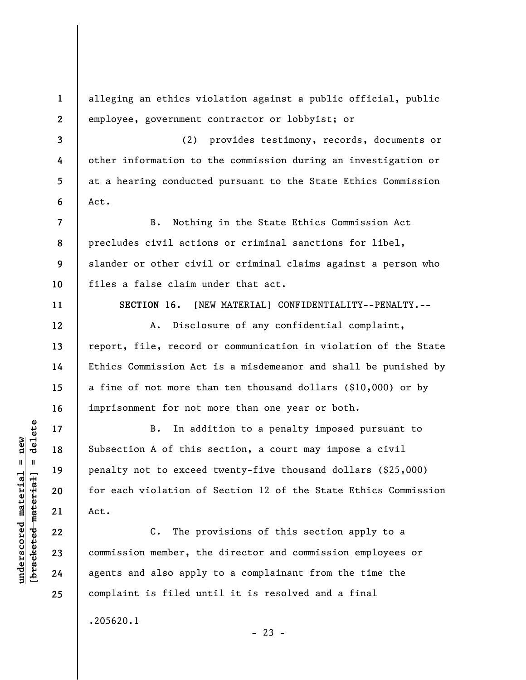alleging an ethics violation against a public official, public employee, government contractor or lobbyist; or

(2) provides testimony, records, documents or other information to the commission during an investigation or at a hearing conducted pursuant to the State Ethics Commission Act.

B. Nothing in the State Ethics Commission Act precludes civil actions or criminal sanctions for libel, slander or other civil or criminal claims against a person who files a false claim under that act.

**SECTION 16.** [NEW MATERIAL] CONFIDENTIALITY--PENALTY.--

A. Disclosure of any confidential complaint, report, file, record or communication in violation of the State Ethics Commission Act is a misdemeanor and shall be punished by a fine of not more than ten thousand dollars (\$10,000) or by imprisonment for not more than one year or both.

B. In addition to a penalty imposed pursuant to Subsection A of this section, a court may impose a civil penalty not to exceed twenty-five thousand dollars (\$25,000) for each violation of Section 12 of the State Ethics Commission Act.

C. The provisions of this section apply to a commission member, the director and commission employees or agents and also apply to a complainant from the time the complaint is filed until it is resolved and a final

 $- 23 -$ 

.205620.1

delete **[bracketed material] = delete**  $underscored material = new$ **underscored material = new**  $[breaked$  material = **1** 

**2** 

**3** 

**4** 

**5** 

**6** 

**7** 

**8** 

**9** 

**10** 

**11** 

**12** 

**13** 

**14** 

**15** 

**16** 

**17** 

**18** 

**19** 

**20** 

**21** 

**22** 

**23** 

**24**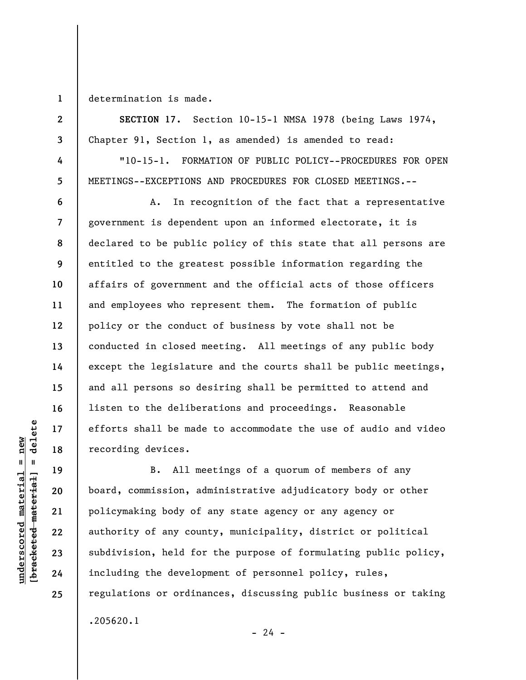**1**  determination is made.

**2** 

**3** 

**4** 

**5** 

**6** 

**7** 

**8** 

**9** 

**10** 

**11** 

**12** 

**13** 

**14** 

**15** 

**16** 

**17** 

**18** 

**19** 

**20** 

**21** 

**22** 

**23** 

**24** 

**25** 

**SECTION 17.** Section 10-15-1 NMSA 1978 (being Laws 1974, Chapter 91, Section 1, as amended) is amended to read:

"10-15-1. FORMATION OF PUBLIC POLICY--PROCEDURES FOR OPEN MEETINGS--EXCEPTIONS AND PROCEDURES FOR CLOSED MEETINGS.--

A. In recognition of the fact that a representative government is dependent upon an informed electorate, it is declared to be public policy of this state that all persons are entitled to the greatest possible information regarding the affairs of government and the official acts of those officers and employees who represent them. The formation of public policy or the conduct of business by vote shall not be conducted in closed meeting. All meetings of any public body except the legislature and the courts shall be public meetings, and all persons so desiring shall be permitted to attend and listen to the deliberations and proceedings. Reasonable efforts shall be made to accommodate the use of audio and video recording devices.

B. All meetings of a quorum of members of any board, commission, administrative adjudicatory body or other policymaking body of any state agency or any agency or authority of any county, municipality, district or political subdivision, held for the purpose of formulating public policy, including the development of personnel policy, rules, regulations or ordinances, discussing public business or taking .205620.1  $- 24 -$ 

 $\frac{1}{2}$  intereted material = delete **[bracketed material] = delete**  $underscored material = new$ **underscored material = new**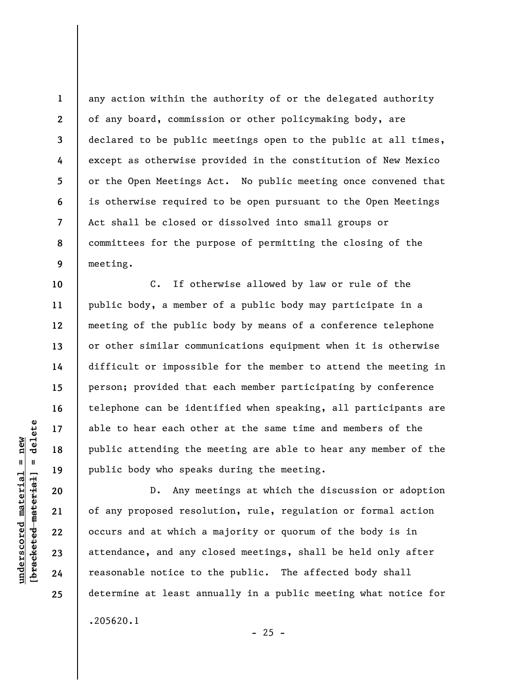any action within the authority of or the delegated authority of any board, commission or other policymaking body, are declared to be public meetings open to the public at all times, except as otherwise provided in the constitution of New Mexico or the Open Meetings Act. No public meeting once convened that is otherwise required to be open pursuant to the Open Meetings Act shall be closed or dissolved into small groups or committees for the purpose of permitting the closing of the meeting.

C. If otherwise allowed by law or rule of the public body, a member of a public body may participate in a meeting of the public body by means of a conference telephone or other similar communications equipment when it is otherwise difficult or impossible for the member to attend the meeting in person; provided that each member participating by conference telephone can be identified when speaking, all participants are able to hear each other at the same time and members of the public attending the meeting are able to hear any member of the public body who speaks during the meeting.

D. Any meetings at which the discussion or adoption of any proposed resolution, rule, regulation or formal action occurs and at which a majority or quorum of the body is in attendance, and any closed meetings, shall be held only after reasonable notice to the public. The affected body shall determine at least annually in a public meeting what notice for .205620.1

**1** 

**2** 

**3** 

**4** 

**5** 

**6** 

**7** 

**8** 

**9** 

**10** 

**11** 

**12** 

**13** 

**14** 

**15** 

**16** 

**17** 

**18** 

**19** 

**20** 

**21** 

**22** 

**23** 

**24** 

**25** 

 $- 25 -$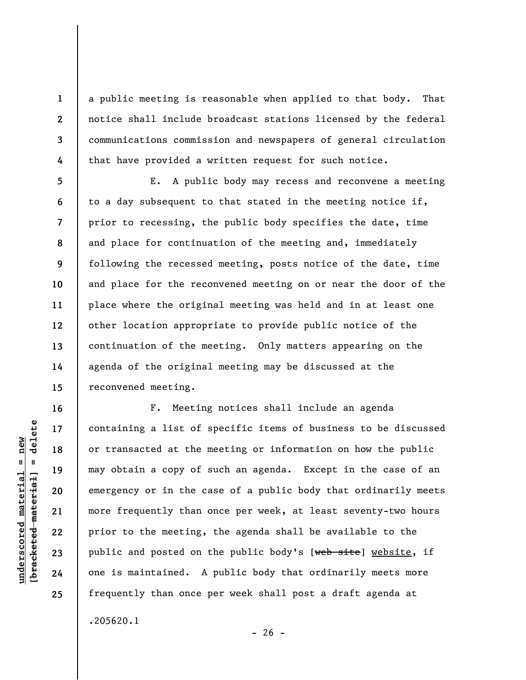a public meeting is reasonable when applied to that body. That notice shall include broadcast stations licensed by the federal communications commission and newspapers of general circulation that have provided a written request for such notice.

E. A public body may recess and reconvene a meeting to a day subsequent to that stated in the meeting notice if, prior to recessing, the public body specifies the date, time and place for continuation of the meeting and, immediately following the recessed meeting, posts notice of the date, time and place for the reconvened meeting on or near the door of the place where the original meeting was held and in at least one other location appropriate to provide public notice of the continuation of the meeting. Only matters appearing on the agenda of the original meeting may be discussed at the reconvened meeting.

F. Meeting notices shall include an agenda containing a list of specific items of business to be discussed or transacted at the meeting or information on how the public may obtain a copy of such an agenda. Except in the case of an emergency or in the case of a public body that ordinarily meets more frequently than once per week, at least seventy-two hours prior to the meeting, the agenda shall be available to the public and posted on the public body's [web site] website, if one is maintained. A public body that ordinarily meets more frequently than once per week shall post a draft agenda at .205620.1

delete **[bracketed material] = delete**  $anderscored material = new$ **underscored material = new**  $\mathbf{I}$ bracketed material

**1** 

**2** 

**3** 

**4** 

**5** 

**6** 

**7** 

**8** 

**9** 

**10** 

**11** 

**12** 

**13** 

**14** 

**15** 

**16** 

**17** 

**18** 

**19** 

**20** 

**21** 

**22** 

**23** 

**24** 

**25** 

 $- 26 -$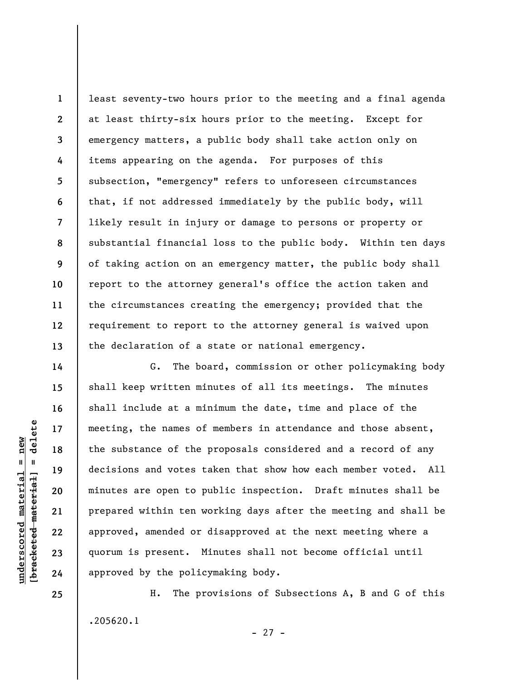**1 2 3 4 5 6 7 8 9 10 11 12 13**  least seventy-two hours prior to the meeting and a final agenda at least thirty-six hours prior to the meeting. Except for emergency matters, a public body shall take action only on items appearing on the agenda. For purposes of this subsection, "emergency" refers to unforeseen circumstances that, if not addressed immediately by the public body, will likely result in injury or damage to persons or property or substantial financial loss to the public body. Within ten days of taking action on an emergency matter, the public body shall report to the attorney general's office the action taken and the circumstances creating the emergency; provided that the requirement to report to the attorney general is waived upon the declaration of a state or national emergency.

G. The board, commission or other policymaking body shall keep written minutes of all its meetings. The minutes shall include at a minimum the date, time and place of the meeting, the names of members in attendance and those absent, the substance of the proposals considered and a record of any decisions and votes taken that show how each member voted. All minutes are open to public inspection. Draft minutes shall be prepared within ten working days after the meeting and shall be approved, amended or disapproved at the next meeting where a quorum is present. Minutes shall not become official until approved by the policymaking body.

H. The provisions of Subsections A, B and G of this .205620.1

 $=$  delete **[bracketed material] = delete**  $underscored material = new$ **underscored material = new** bracketed material

**14** 

**15** 

**16** 

**17** 

**18** 

**19** 

**20** 

**21** 

**22** 

**23** 

**24**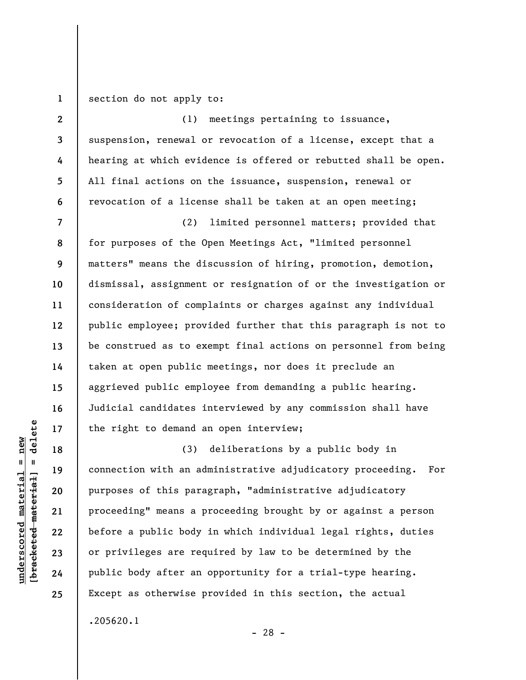**1**  section do not apply to:

**2 3 4 5 6 7 8 9 10 11 12 13 14 15 16 17**  (1) meetings pertaining to issuance, suspension, renewal or revocation of a license, except that a hearing at which evidence is offered or rebutted shall be open. All final actions on the issuance, suspension, renewal or revocation of a license shall be taken at an open meeting; (2) limited personnel matters; provided that for purposes of the Open Meetings Act, "limited personnel matters" means the discussion of hiring, promotion, demotion, dismissal, assignment or resignation of or the investigation or consideration of complaints or charges against any individual public employee; provided further that this paragraph is not to be construed as to exempt final actions on personnel from being taken at open public meetings, nor does it preclude an aggrieved public employee from demanding a public hearing. Judicial candidates interviewed by any commission shall have the right to demand an open interview;

(3) deliberations by a public body in connection with an administrative adjudicatory proceeding. For purposes of this paragraph, "administrative adjudicatory proceeding" means a proceeding brought by or against a person before a public body in which individual legal rights, duties or privileges are required by law to be determined by the public body after an opportunity for a trial-type hearing. Except as otherwise provided in this section, the actual .205620.1

- 28 -

**18** 

**19** 

**20** 

**21** 

**22** 

**23** 

**24**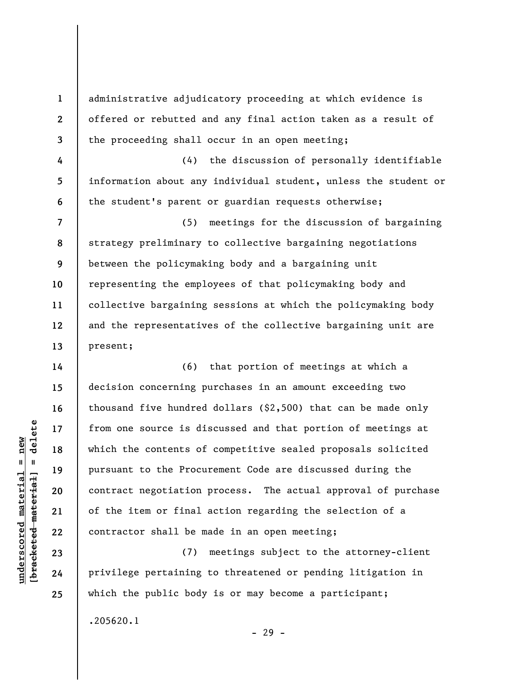administrative adjudicatory proceeding at which evidence is offered or rebutted and any final action taken as a result of the proceeding shall occur in an open meeting;

(4) the discussion of personally identifiable information about any individual student, unless the student or the student's parent or guardian requests otherwise;

(5) meetings for the discussion of bargaining strategy preliminary to collective bargaining negotiations between the policymaking body and a bargaining unit representing the employees of that policymaking body and collective bargaining sessions at which the policymaking body and the representatives of the collective bargaining unit are present;

(6) that portion of meetings at which a decision concerning purchases in an amount exceeding two thousand five hundred dollars (\$2,500) that can be made only from one source is discussed and that portion of meetings at which the contents of competitive sealed proposals solicited pursuant to the Procurement Code are discussed during the contract negotiation process. The actual approval of purchase of the item or final action regarding the selection of a contractor shall be made in an open meeting;

(7) meetings subject to the attorney-client privilege pertaining to threatened or pending litigation in which the public body is or may become a participant;

.205620.1

- 29 -

 $\frac{1}{2}$  of  $\frac{1}{2}$  and  $\frac{1}{2}$  and  $\frac{1}{2}$  and  $\frac{1}{2}$  and  $\frac{1}{2}$  and  $\frac{1}{2}$  and  $\frac{1}{2}$  and  $\frac{1}{2}$  and  $\frac{1}{2}$  and  $\frac{1}{2}$  and  $\frac{1}{2}$  and  $\frac{1}{2}$  and  $\frac{1}{2}$  and  $\frac{1}{2}$  and  $\frac{1}{2}$  an **[bracketed material] = delete**  $anderscored material = new$ **underscored material = new**

**1** 

**2** 

**3** 

**4** 

**5** 

**6** 

**7** 

**8** 

**9** 

**10** 

**11** 

**12** 

**13** 

**14** 

**15** 

**16** 

**17** 

**18** 

**19** 

**20** 

**21** 

**22** 

**23** 

**24**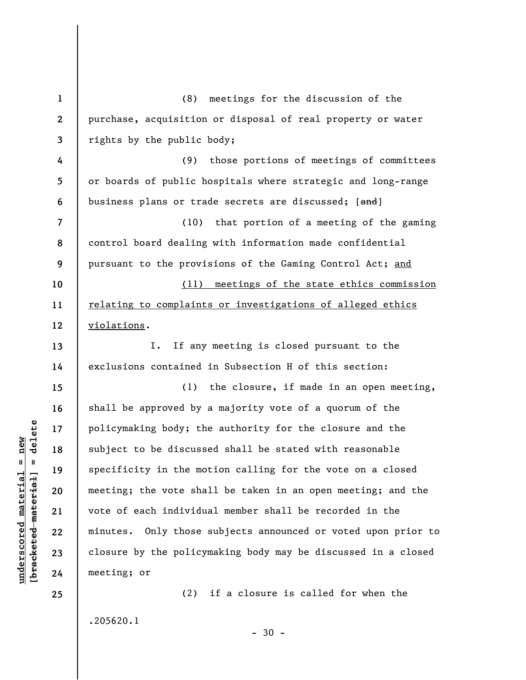**1 2 3 4 5 6 7 8 9 10 11 12 13 14 15 16 17 18 19 20 21 22 23 24 25**  (8) meetings for the discussion of the purchase, acquisition or disposal of real property or water rights by the public body; (9) those portions of meetings of committees or boards of public hospitals where strategic and long-range business plans or trade secrets are discussed; [and] (10) that portion of a meeting of the gaming control board dealing with information made confidential pursuant to the provisions of the Gaming Control Act; and (11) meetings of the state ethics commission relating to complaints or investigations of alleged ethics violations. I. If any meeting is closed pursuant to the exclusions contained in Subsection H of this section: (1) the closure, if made in an open meeting, shall be approved by a majority vote of a quorum of the policymaking body; the authority for the closure and the subject to be discussed shall be stated with reasonable specificity in the motion calling for the vote on a closed meeting; the vote shall be taken in an open meeting; and the vote of each individual member shall be recorded in the minutes. Only those subjects announced or voted upon prior to closure by the policymaking body may be discussed in a closed meeting; or (2) if a closure is called for when the

 $-30 -$ 

 $\frac{1}{2}$  of  $\frac{1}{2}$  and  $\frac{1}{2}$  and  $\frac{1}{2}$  and  $\frac{1}{2}$  and  $\frac{1}{2}$  and  $\frac{1}{2}$  and  $\frac{1}{2}$  and  $\frac{1}{2}$  and  $\frac{1}{2}$  and  $\frac{1}{2}$  and  $\frac{1}{2}$  and  $\frac{1}{2}$  and  $\frac{1}{2}$  and  $\frac{1}{2}$  and  $\frac{1}{2}$  an **[bracketed material] = delete**  $underscored material = new$ **underscored material = new**

.205620.1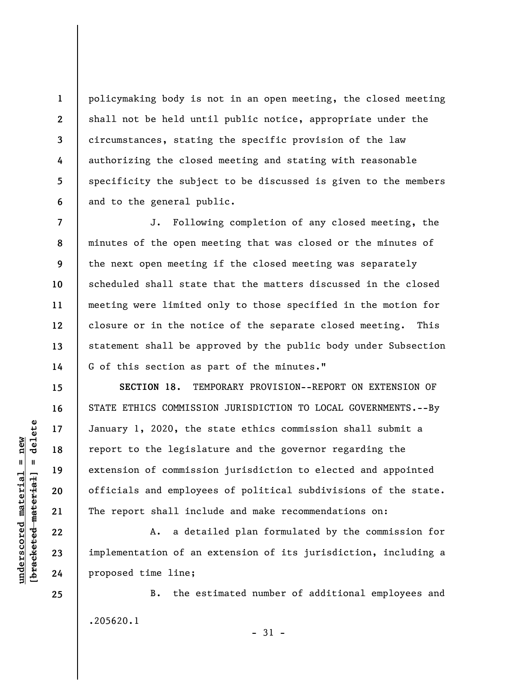policymaking body is not in an open meeting, the closed meeting shall not be held until public notice, appropriate under the circumstances, stating the specific provision of the law authorizing the closed meeting and stating with reasonable specificity the subject to be discussed is given to the members and to the general public.

**7 8 9 10 11 12 13 14**  J. Following completion of any closed meeting, the minutes of the open meeting that was closed or the minutes of the next open meeting if the closed meeting was separately scheduled shall state that the matters discussed in the closed meeting were limited only to those specified in the motion for closure or in the notice of the separate closed meeting. This statement shall be approved by the public body under Subsection G of this section as part of the minutes."

**SECTION 18.** TEMPORARY PROVISION--REPORT ON EXTENSION OF STATE ETHICS COMMISSION JURISDICTION TO LOCAL GOVERNMENTS.--By January 1, 2020, the state ethics commission shall submit a report to the legislature and the governor regarding the extension of commission jurisdiction to elected and appointed officials and employees of political subdivisions of the state. The report shall include and make recommendations on:

A. a detailed plan formulated by the commission for implementation of an extension of its jurisdiction, including a proposed time line;

B. the estimated number of additional employees and .205620.1

- 31 -

 $\frac{1}{2}$  of  $\frac{1}{2}$  and  $\frac{1}{2}$  and  $\frac{1}{2}$  and  $\frac{1}{2}$  and  $\frac{1}{2}$  and  $\frac{1}{2}$  and  $\frac{1}{2}$  and  $\frac{1}{2}$  and  $\frac{1}{2}$  and  $\frac{1}{2}$  and  $\frac{1}{2}$  and  $\frac{1}{2}$  and  $\frac{1}{2}$  and  $\frac{1}{2}$  and  $\frac{1}{2}$  an **[bracketed material] = delete**  $underscored material = new$ **underscored material = new**

**25** 

**1** 

**2** 

**3** 

**4** 

**5** 

**6** 

**15** 

**16** 

**17** 

**18** 

**19** 

**20** 

**21** 

**22** 

**23**